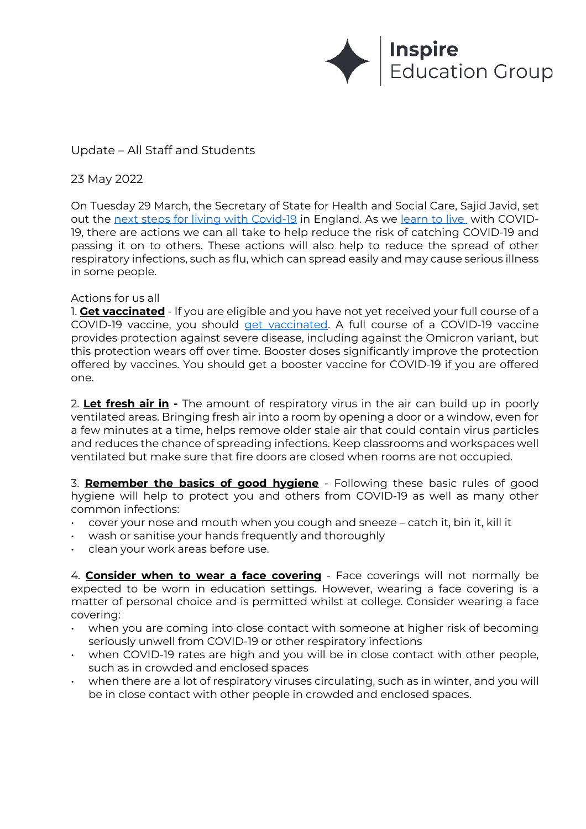

# Update – All Staff and Students

## 23 May 2022

On Tuesday 29 March, the Secretary of State for Health and Social Care, Sajid Javid, set out the next steps for living with Covid-19 in England. As we learn to live with COVID-19, there are actions we can all take to help reduce the risk of catching COVID-19 and passing it on to others. These actions will also help to reduce the spread of other respiratory infections, such as flu, which can spread easily and may cause serious illness in some people.

#### Actions for us all

1. **Get vaccinated** - If you are eligible and you have not yet received your full course of a COVID-19 vaccine, you should get vaccinated. A full course of a COVID-19 vaccine provides protection against severe disease, including against the Omicron variant, but this protection wears off over time. Booster doses significantly improve the protection offered by vaccines. You should get a booster vaccine for COVID-19 if you are offered one.

2. **Let fresh air in -** The amount of respiratory virus in the air can build up in poorly ventilated areas. Bringing fresh air into a room by opening a door or a window, even for a few minutes at a time, helps remove older stale air that could contain virus particles and reduces the chance of spreading infections. Keep classrooms and workspaces well ventilated but make sure that fire doors are closed when rooms are not occupied.

3. **Remember the basics of good hygiene** - Following these basic rules of good hygiene will help to protect you and others from COVID-19 as well as many other common infections:

- cover your nose and mouth when you cough and sneeze catch it, bin it, kill it
- wash or sanitise your hands frequently and thoroughly
- clean your work areas before use.

4. **Consider when to wear a face covering** - Face coverings will not normally be expected to be worn in education settings. However, wearing a face covering is a matter of personal choice and is permitted whilst at college. Consider wearing a face covering:

- when you are coming into close contact with someone at higher risk of becoming seriously unwell from COVID-19 or other respiratory infections
- when COVID-19 rates are high and you will be in close contact with other people, such as in crowded and enclosed spaces
- when there are a lot of respiratory viruses circulating, such as in winter, and you will be in close contact with other people in crowded and enclosed spaces.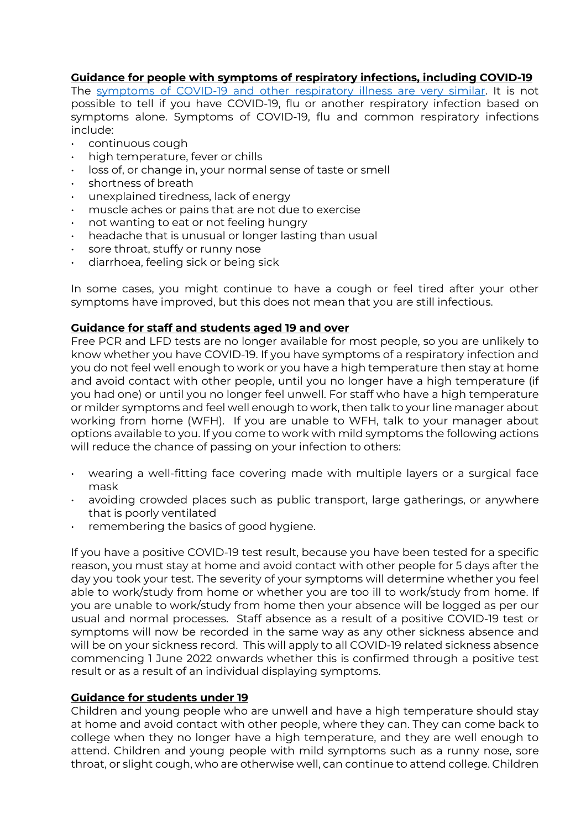## **Guidance for people with symptoms of respiratory infections, including COVID-19**

The symptoms of COVID-19 and other respiratory illness are very similar. It is not possible to tell if you have COVID-19, flu or another respiratory infection based on symptoms alone. Symptoms of COVID-19, flu and common respiratory infections include:

- continuous cough
- high temperature, fever or chills
- loss of, or change in, your normal sense of taste or smell
- shortness of breath
- unexplained tiredness, lack of energy
- muscle aches or pains that are not due to exercise
- not wanting to eat or not feeling hungry
- headache that is unusual or longer lasting than usual
- sore throat, stuffy or runny nose
- diarrhoea, feeling sick or being sick

In some cases, you might continue to have a cough or feel tired after your other symptoms have improved, but this does not mean that you are still infectious.

### **Guidance for staff and students aged 19 and over**

Free PCR and LFD tests are no longer available for most people, so you are unlikely to know whether you have COVID-19. If you have symptoms of a respiratory infection and you do not feel well enough to work or you have a high temperature then stay at home and avoid contact with other people, until you no longer have a high temperature (if you had one) or until you no longer feel unwell. For staff who have a high temperature or milder symptoms and feel well enough to work, then talk to your line manager about working from home (WFH). If you are unable to WFH, talk to your manager about options available to you. If you come to work with mild symptoms the following actions will reduce the chance of passing on your infection to others:

- wearing a well-fitting face covering made with multiple layers or a surgical face mask
- avoiding crowded places such as public transport, large gatherings, or anywhere that is poorly ventilated
- remembering the basics of good hygiene.

If you have a positive COVID-19 test result, because you have been tested for a specific reason, you must stay at home and avoid contact with other people for 5 days after the day you took your test. The severity of your symptoms will determine whether you feel able to work/study from home or whether you are too ill to work/study from home. If you are unable to work/study from home then your absence will be logged as per our usual and normal processes. Staff absence as a result of a positive COVID-19 test or symptoms will now be recorded in the same way as any other sickness absence and will be on your sickness record. This will apply to all COVID-19 related sickness absence commencing 1 June 2022 onwards whether this is confirmed through a positive test result or as a result of an individual displaying symptoms.

#### **Guidance for students under 19**

Children and young people who are unwell and have a high temperature should stay at home and avoid contact with other people, where they can. They can come back to college when they no longer have a high temperature, and they are well enough to attend. Children and young people with mild symptoms such as a runny nose, sore throat, or slight cough, who are otherwise well, can continue to attend college. Children